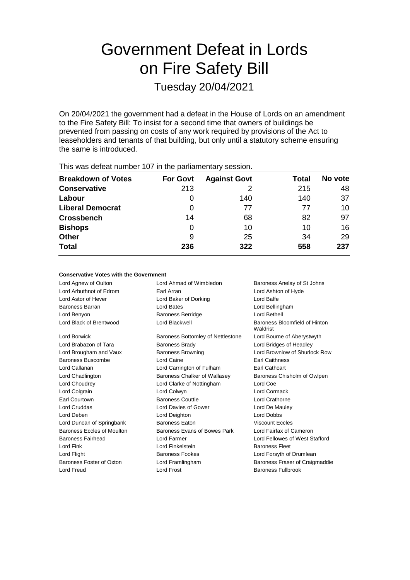# Government Defeat in Lords on Fire Safety Bill

Tuesday 20/04/2021

On 20/04/2021 the government had a defeat in the House of Lords on an amendment to the Fire Safety Bill: To insist for a second time that owners of buildings be prevented from passing on costs of any work required by provisions of the Act to leaseholders and tenants of that building, but only until a statutory scheme ensuring the same is introduced.

| THIS WAS ASSEMBLED FOR THE LIFE PARTICIPING PROSSIBILITY |                 |                     |       |         |  |  |
|----------------------------------------------------------|-----------------|---------------------|-------|---------|--|--|
| <b>Breakdown of Votes</b>                                | <b>For Govt</b> | <b>Against Govt</b> | Total | No vote |  |  |
| <b>Conservative</b>                                      | 213             |                     | 215   | 48      |  |  |
| Labour                                                   | O               | 140                 | 140   | 37      |  |  |
| <b>Liberal Democrat</b>                                  | O               | 77                  | 77    | 10      |  |  |
| <b>Crossbench</b>                                        | 14              | 68                  | 82    | 97      |  |  |
| <b>Bishops</b>                                           | O               | 10                  | 10    | 16      |  |  |
| <b>Other</b>                                             | 9               | 25                  | 34    | 29      |  |  |
| <b>Total</b>                                             | 236             | 322                 | 558   | 237     |  |  |
|                                                          |                 |                     |       |         |  |  |

This was defeat number 107 in the parliamentary session.

# **Conservative Votes with the Government**

Lord Agnew of Oulton **Lord Ahmad of Wimbledon** Baroness Anelay of St Johns Lord Arbuthnot of Edrom Earl Arran Lord Ashton of Hyde Lord Astor of Hever **Lord Baker of Dorking** Lord Balfe Baroness Barran Lord Bates Lord Bellingham Lord Benyon Baroness Berridge Lord Bethell Lord Black of Brentwood Lord Blackwell Baroness Bloomfield of Hinton Waldrist Lord Borwick Baroness Bottomley of Nettlestone Lord Bourne of Aberystwyth Lord Brabazon of Tara **Baroness Brady Lord Bridges of Headley** Lord Bridges of Headley Lord Brougham and Vaux Baroness Browning Lord Brownlow of Shurlock Row Baroness Buscombe Lord Caine Earl Caithness Lord Callanan Lord Carrington of Fulham Earl Cathcart Lord Chadlington **Baroness Chalker of Wallasey** Baroness Chisholm of Owlpen Lord Choudrey Lord Clarke of Nottingham Lord Coe Lord Colgrain Lord Colwyn Lord Cormack Earl Courtown **Baroness Couttie Lord Crathorne** Lord Cruddas Lord Davies of Gower Lord De Mauley Lord Deben Lord Deighton Lord Dobbs Lord Duncan of Springbank Baroness Eaton Viscount Eccles Baroness Eccles of Moulton Baroness Evans of Bowes Park Lord Fairfax of Cameron Baroness Fairhead Lord Farmer Lord Fellowes of West Stafford Lord Fink **Lord Finkelstein** Baroness Fleet Lord Flight **Baroness Fookes** Lord Forsyth of Drumlean **Baroness Fookes** Baroness Foster of Oxton Lord Framlingham Baroness Fraser of Craigmaddie Lord Freud Lord Frost Baroness Fullbrook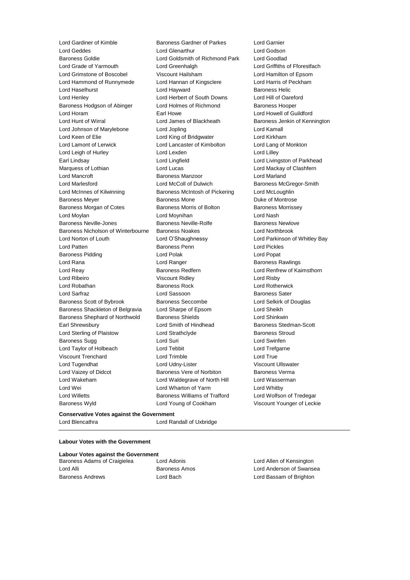Lord Geddes **Lord Genarthur** Lord Godson<br>
Lord Godson Lord Goldsmith of Richmond Park Lord Goodlad Lord Grade of Yarmouth Lord Greenhalgh Lord Griffiths of Fforestfach Lord Grimstone of Boscobel Viscount Hailsham Lord Hamilton of Epsom Lord Hammond of Runnymede Lord Hannan of Kingsclere Lord Harris of Peckham Lord Haselhurst **Lord Hayward** Lord Hayward **Baroness Helic** Lord Henley Lord Herbert of South Downs Lord Hill of Oareford Baroness Hodgson of Abinger Lord Holmes of Richmond Baroness Hooper Lord Horam **Earl Howe** Earl Howe Lord Howell of Guildford Lord Hunt of Wirral Lord James of Blackheath Baroness Jenkin of Kennington Lord Johnson of Marylebone Lord Jopling Lord Kamall Lord Keen of Elie Lord King of Bridgwater Lord Kirkham Lord Lamont of Lerwick Lord Lancaster of Kimbolton Lord Lang of Monkton Lord Leigh of Hurley **Lord Lord Lexden** Lord Lord Lord Lilley Earl Lindsay Lord Lingfield Lord Livingston of Parkhead Marquess of Lothian **Lord Lord Lucas** Lord Lucas **Lord Mackay of Clashfern** Lord Mancroft Baroness Manzoor Lord Marland Lord Marlesford **Lord McColl of Dulwich** Baroness McGregor-Smith Lord McInnes of Kilwinning Baroness McIntosh of Pickering Lord McLoughlin Baroness Meyer **Baroness Mone** Baroness Mone **Duke of Montrose** Baroness Morgan of Cotes **Baroness Morris of Bolton** Baroness Morrissey Lord Moylan Lord Moynihan Lord Nash Baroness Neville-Jones **Baroness Neville-Rolfe** Baroness Newlove Baroness Nicholson of Winterbourne Baroness Noakes Lord Northbrook Lord Norton of Louth Lord O'Shaughnessy Lord Parkinson of Whitley Bay Lord Patten Baroness Penn Lord Pickles Baroness Pidding **Communist Communist Communist Communist Communist Communist Communist Communist Communist Communist Communist Communist Communist Communist Communist Communist Communist Communist Communist Communist Comm** Lord Rana **Lord Ranger Lord Ranger Baroness Rawlings** Lord Reay Baroness Redfern Lord Renfrew of Kaimsthorn Lord Ribeiro Viscount Ridley Lord Risby Lord Robathan Baroness Rock Lord Rotherwick Lord Sarfraz **Lord Sassoon** Baroness Sater Baroness Scott of Bybrook Baroness Seccombe Lord Selkirk of Douglas Baroness Shackleton of Belgravia Lord Sharpe of Epsom Lord Sheikh Baroness Shephard of Northwold Baroness Shields Lord Shinkwin Earl Shrewsbury **Example 20** Lord Smith of Hindhead Baroness Stedman-Scott Lord Sterling of Plaistow **Lord Strathclyde Baroness Stroud** Baroness Sugg **Lord Suri Lord Suri Lord Swinfen** Lord Taylor of Holbeach **Lord Tebbit** Lord Trefgarne Viscount Trenchard Lord Trimble Lord True Lord Tugendhat Lord Udny-Lister Viscount Ullswater Lord Vaizey of Didcot **Baroness Vere of Norbiton** Baroness Verma Lord Wakeham **Lord Waldegrave of North Hill** Lord Wasserman Lord Wei **Lord Wharton of Yarm** Muslem Lord Whitby Lord Willetts Baroness Williams of Trafford Lord Wolfson of Tredegar Baroness Wyld Lord Young of Cookham Viscount Younger of Leckie

Lord Gardiner of Kimble Baroness Gardner of Parkes Lord Garnier Lord Goldsmith of Richmond Park

# **Conservative Votes against the Government** Lord Blencathra Lord Randall of Uxbridge

# **Labour Votes with the Government**

| <b>Labour Votes against the Government</b> |         |  |  |  |
|--------------------------------------------|---------|--|--|--|
| Baroness Adams of Craigielea               | Lord Ao |  |  |  |
| Lord Alli                                  | Barone  |  |  |  |
| <b>Baroness Andrews</b>                    | Lord Ba |  |  |  |

donis **Baroness Adams** Lord Allen of Kensington ss Amos **Lord Anderson of Swansea** ach **Baroness Andrews Lord Bassam of Brighton**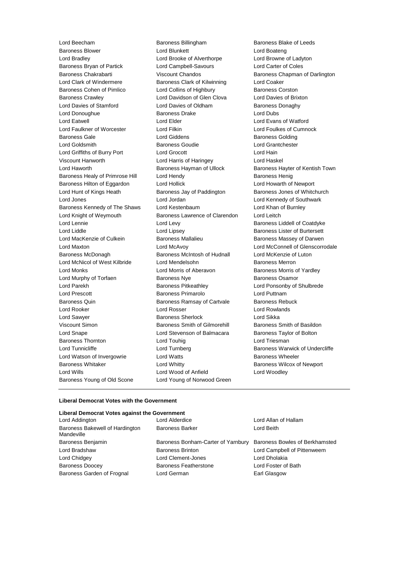Lord Beecham **Baroness Billingham** Baroness Blake of Leeds Baroness Blower Lord Blunkett Lord Boateng Lord Bradley Lord Brooke of Alverthorpe Lord Browne of Ladyton Baroness Bryan of Partick Lord Campbell-Savours Lord Carter of Coles Baroness Chakrabarti **Viscount Chandos** Baroness Chapman of Darlington Lord Clark of Windermere Baroness Clark of Kilwinning Lord Coaker Baroness Cohen of Pimlico **Lord Collins of Highbury** Baroness Corston Baroness Crawley Lord Davidson of Glen Clova Lord Davies of Brixton Lord Davies of Stamford **Lord Davies of Oldham** Baroness Donaghy Lord Donoughue **Baroness Drake** Lord Dubs Lord Eatwell **Lord Elder** Lord Elder **Lord Example 2016** Lord Evans of Watford Lord Faulkner of Worcester Lord Filkin Lord Foulkes of Cumnock Baroness Gale **Baroness Golding** Lord Giddens **Baroness Golding** Lord Goldsmith Baroness Goudie Lord Grantchester Lord Griffiths of Burry Port Lord Grocott Lord Hain Viscount Hanworth Lord Harris of Haringey Lord Haskel Lord Haworth **Baroness Hayman of Ullock** Baroness Hayter of Kentish Town Baroness Healy of Primrose Hill Lord Hendy Contract Report Baroness Henig Baroness Hilton of Eggardon Lord Hollick Lord Howarth of Newport Lord Hunt of Kings Heath **Baroness Jay of Paddington** Baroness Jones of Whitchurch Lord Jones Lord Jordan Lord Kennedy of Southwark Baroness Kennedy of The Shaws Lord Kestenbaum Lord Cord Khan of Burnley Lord Knight of Weymouth Baroness Lawrence of Clarendon Lord Leitch Lord Lennie **Lord Levy** Lord Levy **Baroness Liddell of Coatdyke** Lord Liddle **Lord Lipsey** Lord Lipsey **Baroness Lister of Burtersett** Lord MacKenzie of Culkein Baroness Mallalieu Baroness Massey of Darwen Lord Maxton Lord McAvoy Lord McConnell of Glenscorrodale Baroness McDonagh Baroness McIntosh of Hudnall Lord McKenzie of Luton Lord McNicol of West Kilbride Lord Mendelsohn Baroness Merron Lord Monks Lord Morris of Aberavon Baroness Morris of Yardley Lord Murphy of Torfaen Baroness Nye Baroness Osamor Lord Parekh Baroness Pitkeathley Lord Ponsonby of Shulbrede Lord Prescott **Baroness Primarolo** Lord Puttnam Baroness Quin **Baroness Ramsay of Cartvale** Baroness Rebuck Lord Rooker Lord Rosser Lord Rowlands Lord Sawyer **Baroness Sherlock** Lord Sikka Viscount Simon **Baroness Smith of Gilmorehill** Baroness Smith of Basildon Lord Snape Lord Stevenson of Balmacara Baroness Taylor of Bolton Baroness Thornton **Lord Touhig Lord Triesman** Lord Triesman Lord Tunnicliffe **Lord Turnberg Lord Baroness Warwick of Undercliffe** Lord Watson of Invergowrie **Lord Watts Baroness Wheeler** Baroness Whitaker **Lord Whitty Example 20** Baroness Wilcox of Newport Lord Wills **Lord Wood of Anfield** Lord Woodley Baroness Young of Old Scone Lord Young of Norwood Green

#### **Liberal Democrat Votes with the Government**

#### **Liberal Democrat Votes against the Government**

| Lord Addington                                | Lord Alderdice                     | Lord Allan of Hallam           |
|-----------------------------------------------|------------------------------------|--------------------------------|
| Baroness Bakewell of Hardington<br>Mandeville | <b>Baroness Barker</b>             | Lord Beith                     |
| Baroness Benjamin                             | Baroness Bonham-Carter of Yarnbury | Baroness Bowles of Berkhamsted |
| Lord Bradshaw                                 | <b>Baroness Brinton</b>            | Lord Campbell of Pittenweem    |
| Lord Chidgey                                  | Lord Clement-Jones                 | Lord Dholakia                  |
| <b>Baroness Doocey</b>                        | <b>Baroness Featherstone</b>       | Lord Foster of Bath            |
| Baroness Garden of Frognal                    | Lord German                        | Earl Glasgow                   |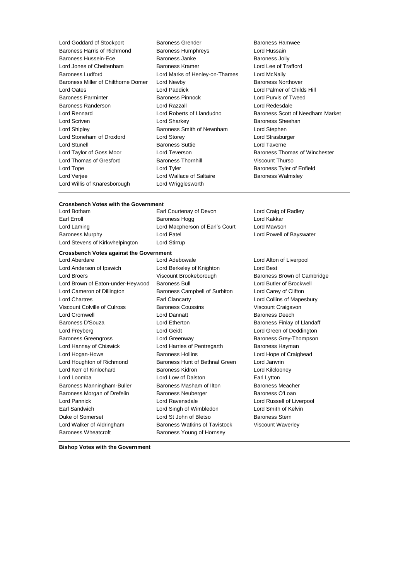| Lord Goddard of Stockport           | Baroness Grender               | Baroness Hamw          |
|-------------------------------------|--------------------------------|------------------------|
| Baroness Harris of Richmond         | <b>Baroness Humphreys</b>      | Lord Hussain           |
| <b>Baroness Hussein-Ece</b>         | Baroness Janke                 | Baroness Jolly         |
| Lord Jones of Cheltenham            | <b>Baroness Kramer</b>         | Lord Lee of Traft      |
| <b>Baroness Ludford</b>             | Lord Marks of Henley-on-Thames | Lord McNally           |
| Baroness Miller of Chilthorne Domer | Lord Newby                     | <b>Baroness Northo</b> |
| Lord Oates                          | Lord Paddick                   | Lord Palmer of C       |
| <b>Baroness Parminter</b>           | <b>Baroness Pinnock</b>        | Lord Purvis of Ty      |
| Baroness Randerson                  | Lord Razzall                   | Lord Redesdale         |
| Lord Rennard                        | Lord Roberts of Llandudno      | <b>Baroness Scott</b>  |
| Lord Scriven                        | Lord Sharkey                   | <b>Baroness Sheeh</b>  |
| Lord Shipley                        | Baroness Smith of Newnham      | Lord Stephen           |
| Lord Stoneham of Droxford           | Lord Storey                    | Lord Strasburge        |
| <b>Lord Stunell</b>                 | <b>Baroness Suttie</b>         | Lord Taverne           |
| Lord Taylor of Goss Moor            | Lord Teverson                  | <b>Baroness Thoma</b>  |
| Lord Thomas of Gresford             | <b>Baroness Thornhill</b>      | <b>Viscount Thurso</b> |
| Lord Tope                           | Lord Tyler                     | <b>Baroness Tyler</b>  |
| Lord Verjee                         | Lord Wallace of Saltaire       | Baroness Walm          |
| Lord Willis of Knaresborough        | Lord Wrigglesworth             |                        |

- Baroness Grender **Baroness Hamwee** Baroness Humphreys **Example Baroness Humphreys** Lord Hussain Baroness Janke Baroness Jolly Baroness Kramer Lord Lee of Trafford Lord Marks of Henley-on-Thames Lord McNally Lord Newby **Baroness Northover** Lord Paddick **Lord Palmer of Childs Hill** Baroness Pinnock Lord Purvis of Tweed Lord Sharkey **Baroness** Sheehan Baroness Smith of Newnham Lord Stephen Lord Storey **Lord Strasburger** Baroness Suttie Lord Taverne Lord Teverson **Example 20** Baroness Thomas of Winchester Baroness Thornhill Viscount Thurso Lord Tyler **Contract Contract Contract Contract Contract Contract Contract Contract Contract Contract Contract Contract Contract Contract Contract Contract Contract Contract Contract Contract Contract Contract Contract Con** Lord Wallace of Saltaire **Baroness Walmsley** Lord Wrigglesworth
- Lord Roberts of Llandudno Baroness Scott of Needham Market

# **Crossbench Votes with the Government**

Lord Stevens of Kirkwhelpington Lord Stirrup

Earl Courtenay of Devon Lord Craig of Radley Earl Erroll **Baroness Hogg Lord Kakkar** Lord Laming Lord Macpherson of Earl's Court Lord Mawson Baroness Murphy **Communist Communist Communist Communist Communist Communist Communist Communist Communist Communist Communist Communist Communist Communist Communist Communist Communist Communist Communist Communist Commu** 

# **Crossbench Votes against the Government**

Lord Anderson of Ipswich Lord Berkeley of Knighton Lord Best Lord Broers **Example 2** Viscount Brookeborough Baroness Brown of Cambridge Lord Brown of Eaton-under-Heywood Baroness Bull **Lord Butler Conditional Butler of Brockwell** Lord Cameron of Dillington Baroness Campbell of Surbiton Lord Carey of Clifton Lord Chartres Earl Clancarty Lord Collins of Mapesbury Viscount Colville of Culross **Baroness Coussins** Viscount Craigavon Lord Cromwell Lord Dannatt Baroness Deech Baroness D'Souza **Lord Etherton** Lord Etherton Baroness Finlay of Llandaff Lord Freyberg Lord Geidt Lord Green of Deddington Baroness Greengross **Lord Greenway Baroness Grey-Thompson** Lord Hannay of Chiswick **Lord Harries of Pentregarth** Baroness Hayman Lord Hogan-Howe Baroness Hollins Lord Hope of Craighead Lord Houghton of Richmond Baroness Hunt of Bethnal Green Lord Janvrin Lord Kerr of Kinlochard Baroness Kidron Lord Kilclooney Lord Loomba Lord Low of Dalston Earl Lytton Baroness Manningham-Buller Baroness Masham of Ilton Baroness Meacher Baroness Morgan of Drefelin Baroness Neuberger Baroness O'Loan Lord Pannick Lord Ravensdale Lord Russell of Liverpool Earl Sandwich Lord Singh of Wimbledon Lord Smith of Kelvin Duke of Somerset **Lord St John of Bletso** Baroness Stern Lord Walker of Aldringham Baroness Watkins of Tavistock Viscount Waverley Baroness Wheatcroft **Baroness Young of Hornsey** 

Lord Aberdare **Lord Adebowale** Lord Adebowale **Lord Alton of Liverpool** 

**Bishop Votes with the Government**